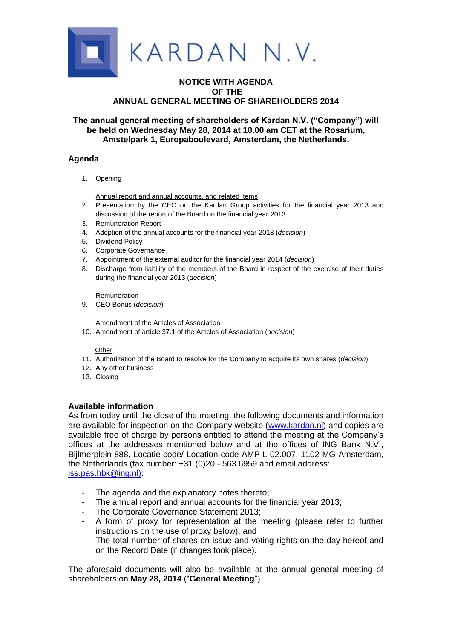

## **NOTICE WITH AGENDA OF THE ANNUAL GENERAL MEETING OF SHAREHOLDERS 2014**

# **The annual general meeting of shareholders of Kardan N.V. ("Company") will be held on Wednesday May 28, 2014 at 10.00 am CET at the Rosarium, Amstelpark 1, Europaboulevard, Amsterdam, the Netherlands.**

## **Agenda**

1. Opening

Annual report and annual accounts, and related items

- 2. Presentation by the CEO on the Kardan Group activities for the financial year 2013 and discussion of the report of the Board on the financial year 2013.
- 3. Remuneration Report
- 4. Adoption of the annual accounts for the financial year 2013 (*decision*)
- 5. Dividend Policy
- 6. Corporate Governance
- 7. Appointment of the external auditor for the financial year 2014 (*decision*)
- 8. Discharge from liability of the members of the Board in respect of the exercise of their duties during the financial year 2013 (*decision*)

Remuneration

9. CEO Bonus (*decision*)

Amendment of the Articles of Association

10. Amendment of article 37.1 of the Articles of Association (*decision*)

#### **Other**

- 11. Authorization of the Board to resolve for the Company to acquire its own shares (*decision*)
- 12. Any other business
- 13. Closing

## **Available information**

As from today until the close of the meeting, the following documents and information are available for inspection on the Company website [\(www.kardan.nl\)](http://www.kardan.nl/) and copies are available free of charge by persons entitled to attend the meeting at the Company's offices at the addresses mentioned below and at the offices of ING Bank N.V., Bijlmerplein 888, Locatie-code/ Location code AMP L 02.007, 1102 MG Amsterdam, the Netherlands (fax number: +31 (0)20 - 563 6959 and email address: [iss.pas.hbk@ing.nl\):](mailto:iss.pas.hbk@ing.nl))

- The agenda and the explanatory notes thereto;
- The annual report and annual accounts for the financial year 2013;
- The Corporate Governance Statement 2013;
- A form of proxy for representation at the meeting (please refer to further instructions on the use of proxy below); and
- The total number of shares on issue and voting rights on the day hereof and on the Record Date (if changes took place).

The aforesaid documents will also be available at the annual general meeting of shareholders on **May 28, 2014** ("**General Meeting**").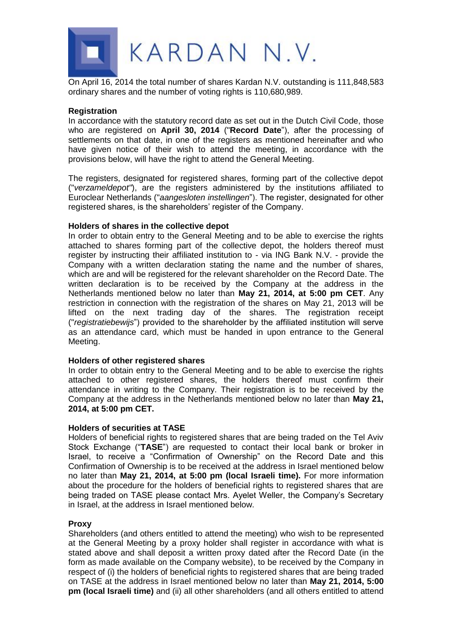

On April 16, 2014 the total number of shares Kardan N.V. outstanding is 111,848,583 ordinary shares and the number of voting rights is 110,680,989.

## **Registration**

In accordance with the statutory record date as set out in the Dutch Civil Code, those who are registered on **April 30, 2014** ("**Record Date**"), after the processing of settlements on that date, in one of the registers as mentioned hereinafter and who have given notice of their wish to attend the meeting, in accordance with the provisions below, will have the right to attend the General Meeting.

The registers, designated for registered shares, forming part of the collective depot ("*verzameldepot"*), are the registers administered by the institutions affiliated to Euroclear Netherlands ("*aangesloten instellingen*"). The register, designated for other registered shares, is the shareholders' register of the Company.

## **Holders of shares in the collective depot**

In order to obtain entry to the General Meeting and to be able to exercise the rights attached to shares forming part of the collective depot, the holders thereof must register by instructing their affiliated institution to - via ING Bank N.V. - provide the Company with a written declaration stating the name and the number of shares, which are and will be registered for the relevant shareholder on the Record Date. The written declaration is to be received by the Company at the address in the Netherlands mentioned below no later than **May 21, 2014, at 5:00 pm CET**. Any restriction in connection with the registration of the shares on May 21, 2013 will be lifted on the next trading day of the shares. The registration receipt ("*registratiebewijs*") provided to the shareholder by the affiliated institution will serve as an attendance card, which must be handed in upon entrance to the General Meeting.

## **Holders of other registered shares**

In order to obtain entry to the General Meeting and to be able to exercise the rights attached to other registered shares, the holders thereof must confirm their attendance in writing to the Company. Their registration is to be received by the Company at the address in the Netherlands mentioned below no later than **May 21, 2014, at 5:00 pm CET.**

## **Holders of securities at TASE**

Holders of beneficial rights to registered shares that are being traded on the Tel Aviv Stock Exchange ("**TASE**") are requested to contact their local bank or broker in Israel, to receive a "Confirmation of Ownership" on the Record Date and this Confirmation of Ownership is to be received at the address in Israel mentioned below no later than **May 21, 2014, at 5:00 pm (local Israeli time).** For more information about the procedure for the holders of beneficial rights to registered shares that are being traded on TASE please contact Mrs. Ayelet Weller, the Company's Secretary in Israel, at the address in Israel mentioned below.

## **Proxy**

Shareholders (and others entitled to attend the meeting) who wish to be represented at the General Meeting by a proxy holder shall register in accordance with what is stated above and shall deposit a written proxy dated after the Record Date (in the form as made available on the Company website), to be received by the Company in respect of (i) the holders of beneficial rights to registered shares that are being traded on TASE at the address in Israel mentioned below no later than **May 21, 2014, 5:00 pm (local Israeli time)** and (ii) all other shareholders (and all others entitled to attend